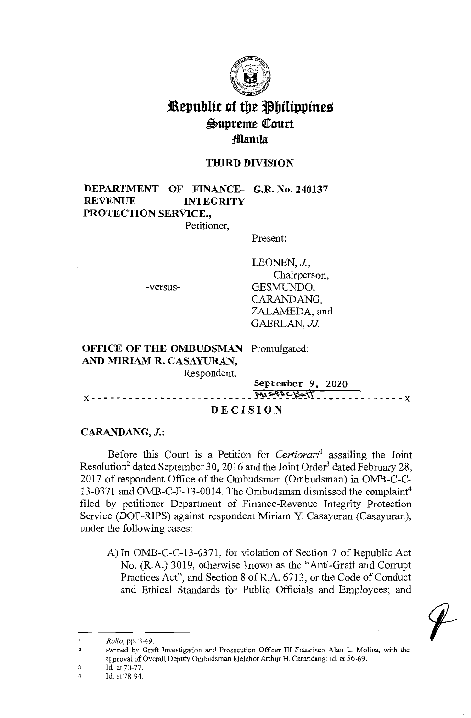

# **Republic of the Philippines**  $\mathfrak{S}$ upreme Court **~a:nfla**

#### **THIRD DIVISION**

# **DEPARTMENT OF FINANCE- G.R. No. 240137 REVENUE INTEGRITY PROTECTION SERVICE.,**

Petitioner,

Present:

LEONEN, J., Chairperson, -versus- GESMUNDO, CARANDANG, ZALAMEDA, and GAERLAN, JJ.

### **OFFICE OF THE OMBUDSMAN** Promulgated: **AND MIRIAM R. CASAYURAN,**  Respondent.

September 9, 2020

<u> - - - - - - MISROCRON - - - - - - - - - - - - - x</u>

### **DECISION**

#### **CARANDANG, J.:**

Before this Court is a Petition for *Certiorari*<sup>1</sup>assailing the Joint Resolution<sup>2</sup> dated September 30, 2016 and the Joint Order<sup>3</sup> dated February 28, 2017 of respondent Office of the Ombudsman (Ombudsman) in OMB-C-C-13-0371 and OMB-C-F-13-0014. The Ombudsman dismissed the complaint<sup>4</sup> filed by petitioner Department of Finance-Revenue Integrity Protection Service (DOF-RIPS) against respondent Miriam Y. Casayuran (Casayuran), under the following cases:

A) In OMB-C-C-13-0371, for violation of Section 7 of Republic Act No. (R.A.) 3019, otherwise known as the "Anti-Graft and Corrupt Practices Act", and Section 8 of R.A. 6713, or the Code of Conduct and Ethical Standards for Public Officials and Employees; and

*Rollo,* pp. 3-49.

Penned by Graft Investigation and Prosecution Officer Ill Francisco Alan L. Molina, witb tbe approval of Overall Deputy Ombudsman Melchor Arthur H. Carandang; id. at 56-69.

<sup>3</sup>  Id. at 70-77.

<sup>4</sup>  Id. at 78-94.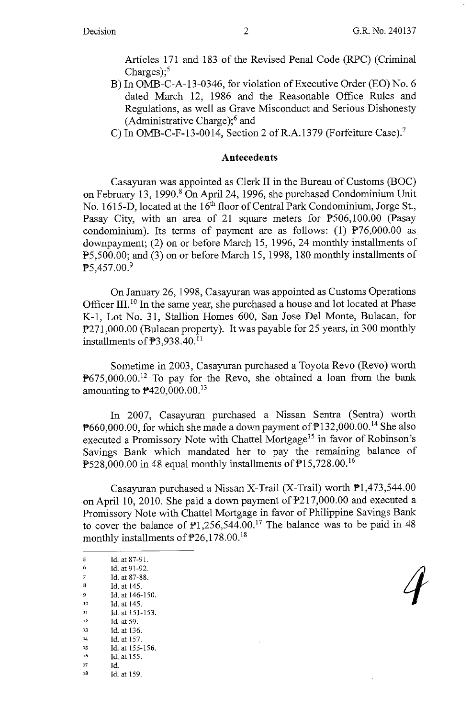Articles 171 and 183 of the Revised Penal Code (RPC) (Criminal Charges); $<sup>5</sup>$ </sup>

- B) In OMB-C-A-13-0346, for violation of Executive Order (EO) No. 6 dated March 12, 1986 and the Reasonable Office Rules and Regulations, as well as Grave Misconduct and Serious Dishonesty (Administrative Charge); $6$  and
- C) In OMB-C-F-13-0014, Section 2 of R.A.1379 (Forfeiture Case).<sup>7</sup>

#### **Antecedents**

Casayuran was appointed as Clerk II in the Bureau of Customs (BOC) on February 13, 1990.<sup>8</sup> On April 24, 1996, she purchased Condominium Unit No. 1615-D, located at the  $16<sup>th</sup>$  floor of Central Park Condominium, Jorge St., Pasay City, with an area of 21 square meters for  $\overline{P}$ 506,100.00 (Pasay condominium). Its terms of payment are as follows: (1)  $\overline{P76,000.00}$  as downpayment; (2) on or before March 15, 1996, 24 monthly installments of !'5,500.00; and (3) on or before March 15, 1998, 180 monthly installments of  $P5,457.00.<sup>9</sup>$ 

On January 26, 1998, Casayuran was appointed as Customs Operations Officer III.<sup>10</sup> In the same year, she purchased a house and lot located at Phase K-1, Lot No. 31, Stallion Homes 600, San Jose Del Monte, Bulacan, for P271,000.00 (Bulacan property). It was payable for 25 years, in 300 monthly installments of  $\mathbb{P}3,938.40$ .<sup>11</sup>

Sometime in 2003, Casayuran purchased a Toyota Revo (Revo) worth  $P675,000.00$ .<sup>12</sup> To pay for the Revo, she obtained a loan from the bank amounting to  $\overline{P}420,000.00$ .<sup>13</sup>

In 2007, Casayuran purchased a Nissan Sentra (Sentra) worth  $P660,000.00$ , for which she made a down payment of  $P132,000.00$ . <sup>14</sup> She also executed a Promissory Note with Chattel Mortgage<sup>15</sup> in favor of Robinson's Savings Bank which mandated her to pay the remaining balance of  $P528,000.00$  in 48 equal monthly installments of  $P15,728.00$ .<sup>16</sup>

Casayuran purchased a Nissan X-Trail (X-Trail) worth  $P1,473,544.00$ on April 10, 2010. She paid a down payment of  $P217,000.00$  and executed a Promissory Note with Chattel Mortgage in favor of Philippine Savings Bank to cover the balance of  $P1,256,544.00$ .<sup>17</sup> The balance was to be paid in 48 monthly installments of  $\texttt{P26,178.00.}^{18}$ 

7 Id. at 87-88. 8 Id. at 145.

- 9 Id. at 146-150.
- 
- 10 Id. at 145.<br>
11 Id. at 151-153.
- 12 Id. at 59.
- 13 Id. at 136.
- 14 Id. at 157.
- 15 Id. at 155-156. 16 Id. at 155.
- 
- $17$  Id.<br> $18$  Id. 18 Id. at 159.

<sup>5</sup>Id. at 87-91.

<sup>6</sup> Id. at 91-92.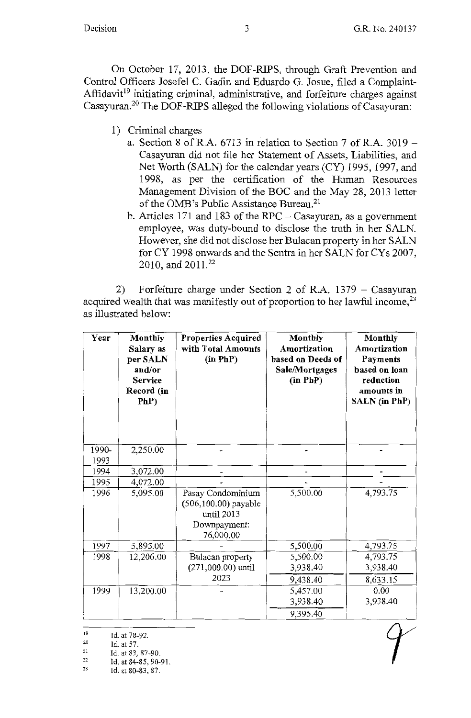On October 17, 2013, the DOF-RIPS, through Graft Prevention and Control Officers Josefel C. Gadin and Eduardo G. Josue, filed a Complaint-Affidavit<sup>19</sup> initiating criminal, administrative, and forfeiture charges against Casayuran.<sup>20</sup> The DOF-RIPS alleged the following violations of Casayuran:

- 1) Criminal charges
	- a. Section 8 of R.A.  $6713$  in relation to Section 7 of R.A.  $3019 -$ Casayuran did not file her Statement of Assets, Liabilities, and Net Worth (SALN) for the calendar years (CY) 1995, 1997, and 1998, as per the certification of the Human Resources Management Division of the BOC and the May 28, 2013 letter of the OMB's Public Assistance Bureau.<sup>21</sup>
	- b. Articles 171 and 183 of the RPC  $-$  Casayuran, as a government employee, was duty-bound to disclose the truth in her SALN. However, she did not disclose her Bulacan property in her SALN for CY 1998 onwards and the Sentra in her SALN for CYs 2007, 2010, and 2011.<sup>22</sup>

2) Forfeiture charge under Section 2 of **R.A.** 1379 - Casayuran acquired wealth that was manifestly out of proportion to her lawful income, $^{23}$ as illustrated below:

| Year          | Monthly<br>Salary as<br>per SALN<br>and/or<br><b>Service</b><br>Record (in<br>PhP) | <b>Properties Acquired</b><br>with Total Amounts<br>(in PhP)                            | Monthly<br>Amortization<br>based on Deeds of<br>Sale/Mortgages<br>(in PhP) | Monthly<br>Amortization<br>Payments<br>based on loan<br>reduction<br>amounts in<br><b>SALN</b> (in PhP) |
|---------------|------------------------------------------------------------------------------------|-----------------------------------------------------------------------------------------|----------------------------------------------------------------------------|---------------------------------------------------------------------------------------------------------|
| 1990-<br>1993 | 2,250.00                                                                           |                                                                                         |                                                                            |                                                                                                         |
| 1994          | 3,072.00                                                                           |                                                                                         |                                                                            |                                                                                                         |
| 1995          | 4,072.00                                                                           |                                                                                         |                                                                            |                                                                                                         |
| 1996          | 5,095.00                                                                           | Pasay Condominium<br>$(506, 100.00)$ payable<br>until 2013<br>Downpayment:<br>76,000.00 | 5,500.00                                                                   | 4,793.75                                                                                                |
| 1997          | 5,895.00                                                                           |                                                                                         | 5,500.00                                                                   | 4,793.75                                                                                                |
| 1998          | 12,206.00                                                                          | Bulacan property<br>$(271,000.00)$ until<br>2023                                        | 5,500.00<br>3,938.40<br>9,438.40                                           | 4,793.75<br>3,938.40<br>8,633.15                                                                        |
| 1999          | 13,200.00                                                                          |                                                                                         | 5,457.00<br>3,938.40<br>9,395.40                                           | 0.00<br>3,938.40                                                                                        |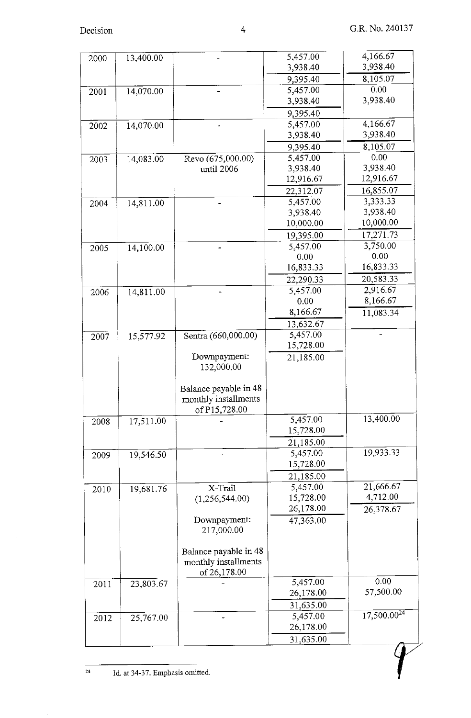| 2000 | 13,400.00 |                                                               | 5,457.00  | 4,166.67             |
|------|-----------|---------------------------------------------------------------|-----------|----------------------|
|      |           |                                                               | 3,938.40  | 3,938.40             |
|      |           |                                                               | 9,395.40  | 8,105.07<br>0.00     |
| 2001 | 14,070.00 |                                                               | 5,457.00  | 3,938.40             |
|      |           |                                                               | 3,938.40  |                      |
|      |           |                                                               | 9,395.40  |                      |
| 2002 | 14,070.00 |                                                               | 5,457.00  | 4,166.67             |
|      |           |                                                               | 3,938.40  | 3,938.40             |
|      |           |                                                               | 9,395.40  | 8,105.07             |
| 2003 | 14,083.00 | Revo (675,000.00)                                             | 5,457.00  | 0.00                 |
|      |           | until 2006                                                    | 3,938.40  | 3,938.40             |
|      |           |                                                               | 12,916.67 | 12,916.67            |
|      |           |                                                               | 22,312.07 | 16,855.07            |
| 2004 | 14,811.00 |                                                               | 5,457.00  | 3,333.33<br>3,938.40 |
|      |           |                                                               | 3,938.40  | 10,000.00            |
|      |           |                                                               | 10,000.00 |                      |
|      |           |                                                               | 19,395.00 | 17,271.73            |
| 2005 | 14,100.00 |                                                               | 5,457.00  | 3,750.00<br>0.00     |
|      |           |                                                               | 0.00      | 16,833.33            |
|      |           |                                                               | 16,833.33 |                      |
|      |           |                                                               | 22,290.33 | 20,583.33            |
| 2006 | 14,811.00 |                                                               | 5,457.00  | 2,916.67             |
|      |           |                                                               | 0.00      | 8,166.67             |
|      |           |                                                               | 8,166.67  | 11,083.34            |
|      |           |                                                               | 13,632.67 |                      |
| 2007 | 15,577.92 | Sentra (660,000.00)                                           | 5,457.00  |                      |
|      |           | Downpayment:                                                  | 15,728.00 |                      |
|      |           | 132,000.00<br>Balance payable in 48<br>monthly installments   | 21,185.00 |                      |
|      |           | of P15,728.00                                                 |           |                      |
| 2008 | 17,511.00 |                                                               | 5,457.00  | 13,400.00            |
|      |           |                                                               | 15,728.00 |                      |
|      |           |                                                               | 21,185.00 |                      |
| 2009 | 19,546.50 |                                                               | 5,457.00  | 19,933.33            |
|      |           |                                                               | 15,728.00 |                      |
|      |           |                                                               | 21,185.00 |                      |
| 2010 | 19,681.76 | X-Trail                                                       | 5,457.00  | 21,666.67            |
|      |           | (1,256,544.00)                                                | 15,728.00 | 4,712.00             |
|      |           |                                                               | 26,178.00 | 26,378.67            |
|      |           | Downpayment:<br>217,000.00                                    | 47,363.00 |                      |
|      |           | Balance payable in 48<br>monthly installments<br>of 26,178.00 |           |                      |
| 2011 | 23,803.67 |                                                               | 5,457.00  | 0.00                 |
|      |           |                                                               | 26,178.00 | 57,500.00            |
|      |           |                                                               | 31,635.00 |                      |
| 2012 | 25,767.00 |                                                               | 5,457.00  | $17,500.00^{24}$     |
|      |           |                                                               | 26,178.00 |                      |
|      |           |                                                               | 31,635.00 |                      |

 $\hat{\boldsymbol{\beta}}$ 

<sup>24</sup> Id. at 34-37. Emphasis omitted.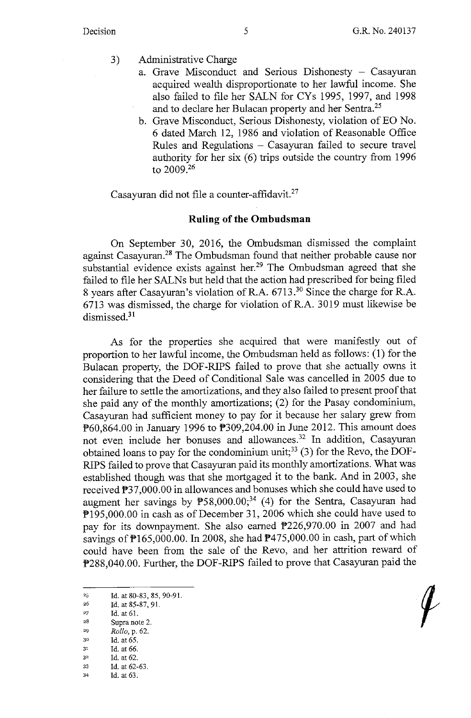- 3) Administrative Charge
	- a. Grave Misconduct and Serious Dishonesty  $-$  Casayuran acquired wealth disproportionate to her lawful income. She also failed to file her SALN for CYs 1995, 1997, and 1998 and to declare her Bulacan property and her Sentra.25
	- b. Grave Misconduct, Serious Dishonesty, violation of EO No. 6 dated March 12, 1986 and violation of Reasonable Office Rules and Regulations  $-$  Casayuran failed to secure travel authority for her six (6) trips outside the country from 1996 to 2009.26

Casayuran did not file a counter-affidavit.<sup>27</sup>

#### **Ruling of the Ombudsman**

On September 30, 2016, the Ombudsman dismissed the complaint against Casayuran.<sup>28</sup> The Ombudsman found that neither probable cause nor substantial evidence exists against her.<sup>29</sup> The Ombudsman agreed that she failed to file her SALNs but held that the action had prescribed for being filed 8 years after Casayuran's violation ofR.A. 6713.30 Since the charge for R.A. 6713 was dismissed, the charge for violation ofR.A. 3019 must likewise be dismissed.<sup>31</sup>

As for the properties she acquired that were manifestly out of proportion to her lawful income, the Ombudsman held as follows: (1) for the Bulacan property, the DOF-RIPS failed to prove that she actually owns it considering that the Deed of Conditional Sale was cancelled in 2005 due to her failure to settle the amortizations, and they also failed to present proof that she paid any of the monthly amortizations; (2) for the Pasay condominium, Casayuran had sufficient money to pay for it because her salary grew from  $P60,864.00$  in January 1996 to  $P309,204.00$  in June 2012. This amount does not even include her bonuses and allowances.32 In addition, Casayuran obtained loans to pay for the condominium unit;<sup>33</sup> (3) for the Revo, the DOF-RIPS failed to prove that Casayuran paid its monthly amortizations. What was established though was that she mortgaged it to the bank. And in 2003, she received  $\textsf{P}37,000.00$  in allowances and bonuses which she could have used to augment her savings by  $\mathbb{P}58,000.00$ ;<sup>34</sup> (4) for the Sentra, Casayuran had  $\text{P}195,000.00$  in cash as of December 31, 2006 which she could have used to pay for its downpayment. She also earned  $\overline{P}226,970.00$  in 2007 and had savings of  $\overline{P}165,000.00$ . In 2008, she had  $\overline{P}475,000.00$  in cash, part of which could have been from the sale of the Revo, and her attrition reward of 1'288,040.00. Further, the DOF-RIPS failed to prove that Casayuran paid the

- ,9 *Rollo,* p. 62. 30 Id. at 65.
- 31 Id. at 66.
- 3<sup>2</sup> Id. at 62.
- <sup>33</sup>Id. at 62-63.
- 34 Id. at 63.

 $\int$ 

<sup>&#</sup>x27;5 Id. at 80-83, 85, 90-91.

<sup>26</sup> Id. at 85-87, 91.

<sup>27</sup> Id. at 61.

<sup>28</sup> Supra note 2.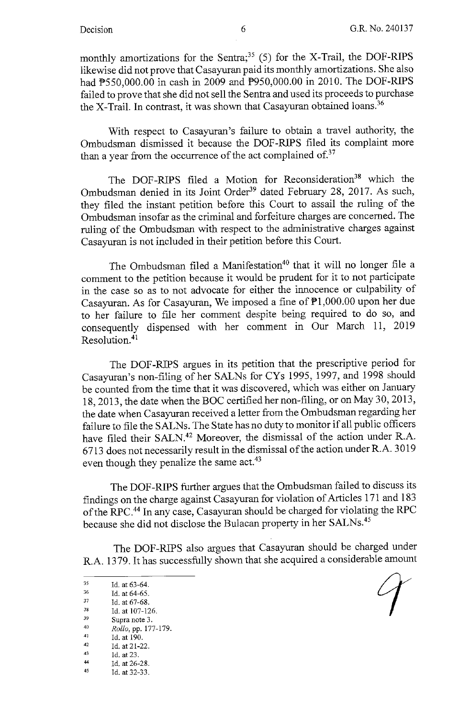monthly amortizations for the Sentra;<sup>35</sup> (5) for the X-Trail, the DOF-RIPS likewise did not prove that Casayuran paid its monthly amortizations. She also had P550,000.00 in cash in 2009 and P950,000.00 in 2010. The DOF-RIPS failed to prove that she did not sell the Sentra and used its proceeds to purchase the X-Trail. In contrast, it was shown that Casayuran obtained loans.<sup>36</sup>

With respect to Casayuran's failure to obtain a travel authority, the Ombudsman dismissed it because the DOF-RIPS filed its complaint more than a year from the occurrence of the act complained of.<sup>37</sup>

The DOF-RIPS filed a Motion for Reconsideration<sup>38</sup> which the Ombudsman denied in its Joint Order<sup>39</sup> dated February 28, 2017. As such, they filed the instant petition before this Court to assail the ruling of the Ombudsman insofar as the criminal and forfeiture charges are concerned. The ruling of the Ombudsman with respect to the administrative charges against Casayuran is not included in their petition before this Court.

The Ombudsman filed a Manifestation<sup>40</sup> that it will no longer file a comment to the petition because it would be prudent for it to not participate in the case so as to not advocate for either the innocence or culpability of Casayuran. As for Casayuran, We imposed a fine of Pl,000.00 upon her due to her failure to file her comment despite being required to do so, and consequently dispensed with her comment in Our March 11, 2019 Resolution.41

The DOF-RIPS argues in its petition that the prescriptive period for Casayuran's non-filing of her SALNs for CYs 1995, 1997, and 1998 should be counted from the time that it was discovered, which was either on January 18, 2013, the date when the BOC certified her non-filing, or on May 30, 2013, the date when Casayuran received a letter from the Ombudsman regarding her failure to file the SALNs. The State has no duty to monitor if all public officers have filed their SALN.<sup>42</sup> Moreover, the dismissal of the action under R.A. 6713 does not necessarily result in the dismissal of the action under R.A. 3019 even though they penalize the same act.<sup>43</sup>

The DOF-RIPS further argues that the Ombudsman failed to discuss its findings on the charge against Casayuran for violation of Articles 171 and 183 of the RPC.44 In any case, Casayuran should be charged for violating the RPC because she did not disclose the Bulacan property in her SALNs.<sup>45</sup>

The DOF-RIPS also argues that Casayuran should be charged under R.A. 13 79. It has successfully shown that she acquired a considerable amount

- 
- 

<sup>55</sup> Id. at 63-64.<br>
<sup>36</sup> Id. at 64-65.<br>
<sup>37</sup> Id. at 67-68.<br>
<sup>38</sup> Id. at 107-126.<br>
<sup>39</sup> Supra note 3.<br> *Rollo, pp. 177-179.*<br>
<sup>41</sup> Id. at 190.<br>
<sup>42</sup> Id. at 21-22.<br>
<sup>43</sup> Id. at 23.

 $^{35}$  Id. at 63-64.<br> $^{36}$  Id. at 64-65

<sup>44</sup> Id. at  $26-28$ .

Id. at 32-33.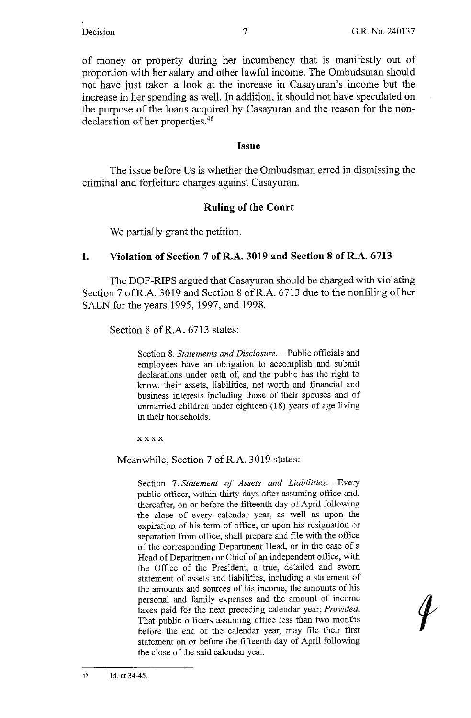of money or property during her incumbency that is manifestly out of proportion with her salary and other lawful income. The Ombudsman should not have just taken a look at the increase in Casayuran's income but the increase in her spending as well. In addition, it should not have speculated on the purpose of the loans acquired by Casayuran and the reason for the nondeclaration of her properties.<sup>46</sup>

### **Issue**

The issue before Us is whether the Ombudsman erred in dismissing the criminal and forfeiture charges against Casayuran.

# **Ruling of the Court**

We partially grant the petition.

# **I. Violation of Section 7 of R.A. 3019 and Section 8 of R.A. 6713**

The DOF-RIPS argued that Casayuran should be charged with violating Section 7 ofR.A. 3019 and Section 8 ofR.A. 6713 due to the nonfiling of her SALN for the years 1995, 1997, and 1998.

### Section 8 of R.A. 6713 states:

Section 8. *Statements and Disclosure*. - Public officials and employees have an obligation to accomplish and submit declarations under oath of, and the public has the right to know, their assets, liabilities, net worth and financial and business interests including those of their spouses and of unmarried children under eighteen (18) years of age living in their households.

xxxx

### Meanwhile, Section 7 of R.A. 3019 states:

Section 7. Statement of Assets and Liabilities. - Every public officer, within thirty days after assuming office and, thereafter, on or before the fifteenth day of April following the close of every calendar year, as well as upon the expiration of his term of office, or upon his resignation or separation from office, shall prepare and file with the office of the corresponding Department Head, or in the case of a Head of Department or Chief of an independent office, with the Office of the President, a true, detailed and sworn statement of assets and liabilities, including a statement of the amounts and sources of his income, the amounts of his personal and family expenses and the amount of income taxes paid for the next preceding calendar year; *Provided,*  That public officers assuming office less than two months before the end of the calendar year, may file their first statement on or before the fifteenth day of April following the close of the said calendar year.

46 Id. at 34-45.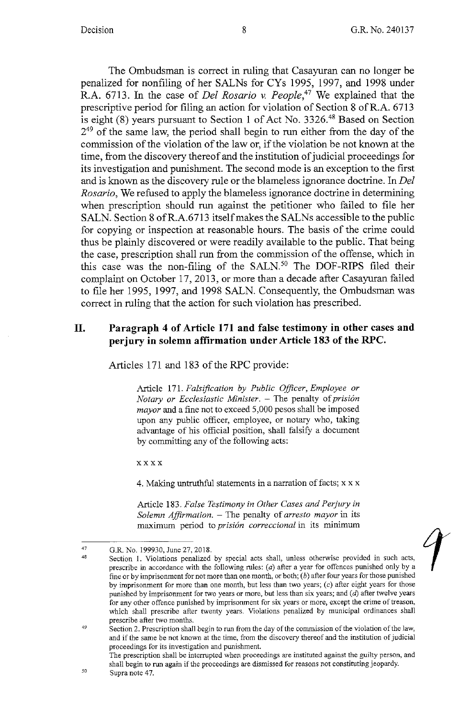The Ombudsman is correct in ruling that Casayuran can no longer be penalized for nonfiling of her SALNs for CYs 1995, 1997, and 1998 under R.A. 6713. In the case of *Del Rosario v. People,47* We explained that the prescriptive period for filing an action for violation of Section 8 ofR.A. 6713 is eight (8) years pursuant to Section 1 of Act No. 3326.48 Based on Section  $2<sup>49</sup>$  of the same law, the period shall begin to run either from the day of the commission of the violation of the law or, if the violation be not known at the time, from the discovery thereof and the institution of judicial proceedings for its investigation and punishment. The second mode is an exception to the first and is known as the discovery rule or the blameless ignorance doctrine. In *Del Rosario,* We refused to apply the blameless ignorance doctrine in determining when prescription should run against the petitioner who failed to file her SALN. Section 8 ofR.A.6713 itself makes the SALNs accessible to the public for copying or inspection at reasonable hours. The basis of the crime could thus be plainly discovered or were readily available to the public. That being the case, prescription shall run from the commission of the offense, which in this case was the non-filing of the SALN.<sup>50</sup> The DOF-RIPS filed their complaint on October 17, 2013, or more than a decade after Casayuran failed to file her 1995, 1997, and 1998 SALN. Consequently, the Ombudsman was correct in ruling that the action for such violation has prescribed.

# **II. Paragraph 4 of Article 171 and false testimony in other cases and perjury in solemn affirmation under Article 183 of the RPC.**

Articles 171 and 183 of the RPC provide:

Article 171. *Falsification by Public Officer, Employee or Notary or Ecclesiastic Minister.* - The penalty of *prisi6n mayor* and a fine not to exceed 5,000 pesos shall be imposed upon any public officer, employee, or notary who, taking advantage of his official position, shall falsify a document by committing any of the following acts:

xxxx

4. Making untruthful statements in a narration of facts;  $x \times x$ 

Article 183. *False Testimony in Other Cases and Perjury in Solemn Affirmation.* - The penalty of *arresto mayor* in its maximum period to *prisi6n correccional* in its minimum



<sup>47</sup>  G.R. No. 199930, June 27, 2018.

<sup>48</sup>  Section I. Violations penalized by special acts shall, unless otherwise provided in such acts, prescribe in accordance with the following rules:  $(a)$  after a year for offences punished only by a fine or by imprisonment for not more than one month, or both;  $(b)$  after four years for those punished **by imprisonment for more than one month, but less than two years; (c) after eight years for those**  punished by imprisonment for two years or more, but less than six years; and  $(d)$  after twelve years **for any other offence punished by imprisonment for six years or more, except the crime of treason,**  which shall prescribe after twenty years. Violations penalized by municipal ordinances shall **prescribe after two months.** 

<sup>49</sup>  Section 2. Prescription shall begin to run from the day of the commission of the violation of the law, and if the same be not known at the time, from the discovery thereof and the institution of judicial **proceedings for its investigation and punishment. The prescription shall be interrupted when proceedings are instituted against the guilty person, and** 

<sup>50</sup>  shall begin to run again if the proceedings are dismissed for reasons not constituting jeopardy. Supra note 47.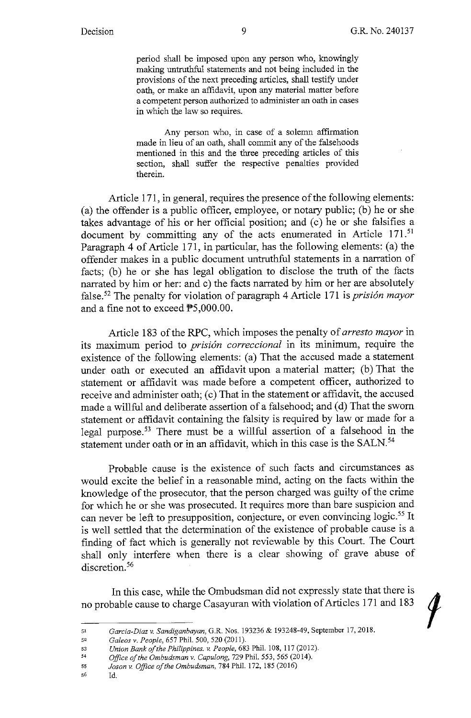$\int$ 

period shall be imposed upon any person who, knowingly making untruthful statements and not being included in the provisions of the next preceding articles, shall testify under oath, or make an affidavit, upon any material matter before a competent person authorized to administer an oath in cases in which the law so requires.

Any person who, in case of a solemn affirmation made in lieu of an oath, shall commit any of the falsehoods mentioned in this and the three preceding articles of this section, shall suffer the respective penalties provided therein.

Article 171, in general, requires the presence of the following elements: (a) the offender is a public officer, employee, or notary public; (b) he or she takes advantage of his or her official position; and  $(c)$  he or she falsifies a document by committing any of the acts enumerated in Article 171.<sup>51</sup> Paragraph 4 of Article 171, in particular, has the following elements: (a) the offender makes in a public document untruthful statements in a narration of facts; (b) he or she has legal obligation to disclose the truth of the facts narrated by him or her: and c) the facts narrated by him or her are absolutely false. 52 The penalty for violation of paragraph 4 Article 171 is *prisi6n mayor*  and a fine not to exceed PS,000.00.

Article 183 of the RPC, which imposes the penalty of *arresto mayor* in its maximum period to *prisi6n correccional* in its minimum, require the existence of the following elements: (a) That the accused made a statement under oath or executed an affidavit upon a material matter; (b) That the statement or affidavit was made before a competent officer, authorized to receive and administer oath; (c) That in the statement or affidavit, the accused made a willful and deliberate assertion of a falsehood; and (d) That the sworn statement or affidavit containing the falsity is required by law or made for a legal purpose.53 There must be a willful assertion of a falsehood in the statement under oath or in an affidavit, which in this case is the SALN.<sup>54</sup>

Probable cause is the existence of such facts and circumstances as would excite the belief in a reasonable mind, acting on the facts within the knowledge of the prosecutor, that the person charged was guilty of the crime for which he or she was prosecuted. It requires more than bare suspicion and can never be left to presupposition, conjecture, or even convincing logic.<sup>55</sup> It is well settled that the determination of the existence of probable cause is a finding of fact which is generally not reviewable by this Court. The Court shall only interfere when there is a clear showing of grave abuse of discretion.<sup>56</sup>

In this case, while the Ombudsman did not expressly state that there is no probable cause to charge Casayuran with violation of Articles 171 and 183

56

<sup>5&#</sup>x27; *Garcia-Diaz v. Sandiganbayan,* G.R. Nos. 193236 & 193248-49, September 17, 2018.

<sup>52</sup>  *Galeos v. People,* 657 Phil. 500,520(2011).

<sup>53</sup>  *Union Bank of the Philippines. v. People,* 683 Phil. 108, 117 (2012).

<sup>54</sup>  *Office of the Ombudsman v. Capulong,* 729 Phil. 553, 565 (2014).

<sup>55</sup>  *Joson v. Office of the Ombudsman,* 784 Phil. 172, 185 (2016) Id.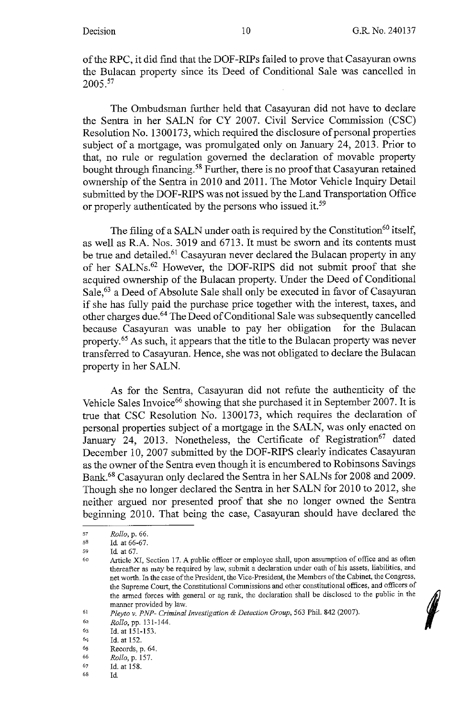of the RPC, it did find that the DOF-RIPs failed to prove that Casayuran owns the Bulacan property since its Deed of Conditional Sale was cancelled in 2005. <sup>57</sup>

The Ombudsman further held that Casayuran did not have to declare the Sentra in her SALN for CY 2007. Civil Service Commission (CSC) Resolution No. 1300173, which required the disclosure of personal properties subject of a mortgage, was promulgated only on January 24, 2013. Prior to that, no rule or regulation governed the declaration of movable property bought through financing. 58 Further, there is no proof that Casayuran retained ownership of the Sentra in 2010 and 2011. The Motor Vehicle Inquiry Detail submitted by the DOF-RIPS was not issued by the Land Transportation Office or properly authenticated by the persons who issued it.<sup>59</sup>

The filing of a SALN under oath is required by the Constitution<sup>60</sup> itself, as well as R.A. Nos. 3019 and 6713. It must be sworn and its contents must be true and detailed.<sup>61</sup> Casayuran never declared the Bulacan property in any of her SALNs.62 However, the DOF-RIPS did not submit proof that she acquired ownership of the Bulacan property. Under the Deed of Conditional Sale,<sup>63</sup> a Deed of Absolute Sale shall only be executed in favor of Casayuran if she has fully paid the purchase price together with the interest, taxes, and other charges due.64 The Deed of Conditional Sale was subsequently cancelled because Casayuran was unable to pay her obligation for the Bulacan property. 65 As such, it appears that the title to the Bulacan property was never transferred to Casayuran. Hence, she was not obligated to declare the Bulacan property in her SALN.

As for the Sentra, Casayuran did not refute the authenticity of the Vehicle Sales Invoice<sup>66</sup> showing that she purchased it in September 2007. It is true that CSC Resolution No. 1300173, which requires the declaration of personal properties subject of a mortgage in the SALN, was only enacted on January 24, 2013. Nonetheless, the Certificate of Registration<sup>67</sup> dated December 10, 2007 submitted by the DOF-RIPS clearly indicates Casayuran as the owner of the Sentra even though it is encumbered to Robinsons Savings Bank.68 Casayuran only declared the Sentra in her SALNs for 2008 and 2009. Though she no longer declared the Sentra in her SALN for 2010 to 2012, she neither argued nor presented proof that she no longer owned the Sentra beginning 2010. That being the case, Casayuran should have declared the

- **<sup>66</sup>***Rollo,* **p. I 57.**
- <sup>67</sup>**Id. at 158.**
- 68 Id.

<sup>57</sup>*Rollo,* p. 66.

<sup>58</sup> Id. at 66-67.

<sup>59</sup> Id. at 67.

<sup>60</sup>  Article XI, Section 17. A public officer or employee shall, upon assumption of office and as often thereafter as may be required by law, submit a declaration under oath of his assets, liabilities, and net worth. In the case of the President, the Vice-President, the Members of the Cabinet, the Congress, the Supreme Court, the Constitutional Commissions and other constitutional offices, and officers of the armed forces with general or ag rank, the declaration shall be disclosed to the public in the manner provided by law.

<sup>61</sup>  *P/eyto v. PNP- Criminal Investigation* & *Detection Group,* 563 Phil. 842 (2007).

<sup>62</sup>  *Rollo,* pp. 131-144.

<sup>63</sup>  Id. at 151-153.

<sup>64</sup> **Id. at 152.** 

<sup>6</sup>s **Records, p. 64.**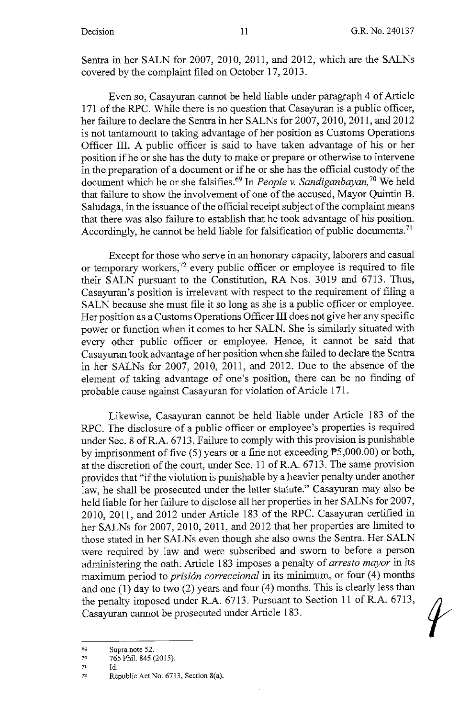*1* 

Sentra in her SALN for 2007, 2010, 2011, and 2012, which are the SALNs covered by the complaint filed on October 17, 2013.

Even so, Casayuran cannot be held liable under paragraph 4 of Article 171 of the **RPC.** While there is no question that Casayuran is a public officer, her failure to declare the Sentra in her **SALNs** for 2007, 2010, 2011, and 2012 is not tantamount to taking advantage of her position as Customs Operations Officer III. A public officer is said to have taken advantage of his or her position ifhe or she has the duty to make or prepare or otherwise to intervene in the preparation of a document or if he or she has the official custody of the document which he or she falsifies. 69 In *People v. Sandiganbayan,* 70 We held that failure to show the involvement of one of the accused, Mayor Quintin B. Saludaga, in the issuance of the official receipt subject of the complaint means that there was also failure to establish that he took advantage of his position. Accordingly, he cannot be held liable for falsification of public documents.<sup>71</sup>

Except for those who serve in an honorary capacity, laborers and casual or temporary workers,<sup>72</sup> every public officer or employee is required to file their SALN pursuant to the Constitution, RA Nos. 3019 and 6713. Thus, Casayuran's position is irrelevant with respect to the requirement of filing a SALN because she must file it so long as she is a public officer or employee. Her position as a Customs Operations Officer III does not give her any specific power or function when it comes to her SALN. She is similarly situated with every other public officer or employee. Hence, it cannot be said that Casayuran took advantage of her position when she failed to declare the Sentra in her SALNs for 2007, 2010, 2011, and 2012. Due to the absence of the element of taking advantage of one's position, there can be no finding of probable cause against Casayuran for violation of Article 171.

Likewise, Casayuran cannot be held liable under Article 183 of the RPC. The disclosure of a public officer or employee's properties is required under Sec. 8 ofR.A. 6713. Failure to comply with this provision is punishable by imprisonment of five (5) years or a fine not exceeding  $\overline{P}5,000.00$ ) or both, at the discretion of the court, under Sec. 11 ofR.A. 6713. The same provision provides that "if the violation is punishable by a heavier penalty under another law, he shall be prosecuted under the latter statute." Casayuran may also be held liable for her failure to disclose all her properties in her SALNs for 2007, 2010, 2011, and 2012 under Article 183 of the RPC. Casayuran certified in her SALNs for 2007, 2010, 2011, and 2012 that her properties are limited to those stated in her SALNs even though she also owns the Sentra. Her SALN were required by law and were subscribed and sworn to before a person administering the oath. Article 183 imposes a penalty of *arresto mayor* in its maximum period to *prisión correccional* in its minimum, or four (4) months and one  $(1)$  day to two  $(2)$  years and four  $(4)$  months. This is clearly less than the penalty imposed under R.A. 6713. Pursuant to Section 11 of R.A. 6713, Casayuran cannot be prosecuted under Article 183.

<sup>69</sup> Supra note 52.

<sup>7° 765</sup> Phil. 845 (2015).

 $71$  Id.

 $72$  Republic Act No. 6713, Section 8(a).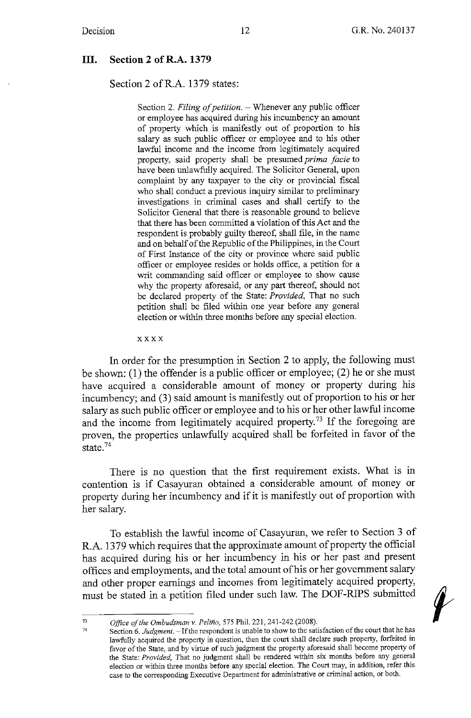#### **III. Section 2 of R.A. 1379**

#### Section 2 of R.A. 1379 states:

Section 2. *Filing of petition*. - Whenever any public officer or employee has acquired during his incumbency an amount of property which is manifestly out of proportion to his salary as such public officer or employee and to his other lawful income and the income from legitimately acquired property, said property shall be presumed *prima facie* to have been unlawfully acquired. The Solicitor General, upon complaint by any taxpayer to the city or provincial fiscal who shall conduct a previous inquiry similar to preliminary investigations in criminal cases and shall certify to the Solicitor General that there is reasonable ground to believe that there has been committed a violation of this Act and the respondent is probably guilty thereof, shall file, in the name and on behalf of the Republic of the Philippines, in the Court of First Instance of the city or province where said public officer or employee resides or holds office, a petition for a writ commanding said officer or employee to show cause why the property aforesaid, or any part thereof, should not be declared property of the State: *Provided,* That no such petition shall be filed within one year before any general election or within three months before any special election.

xxxx

In order for the presumption in Section 2 to apply, the following must be shown: (1) the offender is a public officer or employee; (2) he or she must have acquired a considerable amount of money or property during his incumbency; and (3) said amount is manifestly out of proportion to his or her salary as such public officer or employee and to his or her other lawful income and the income from legitimately acquired property. 73 If the foregoing are proven, the properties unlawfully acquired shall be forfeited in favor of the state.<sup>74</sup>

There is no question that the first requirement exists. What is in contention is if Casayuran obtained a considerable amount of money or property during her incumbency and if it is manifestly out of proportion with her salary.

To establish the lawful income of Casayuran, we refer to Section 3 of R.A. 13 79 which requires that the approximate amount of property the official has acquired during his or her incumbency in his or her past and present offices and employments, and the total amount of his or her government salary and other proper earnings and incomes from legitimately acquired property, must be stated in a petition filed under such law. The **DOF-RIPS** submitted

<sup>74</sup>  Section 6. *Judgment*.  $-$  If the respondent is unable to show to the satisfaction of the court that he has lawfully acquired the property in question, then the court shall declare such property, forfeited in favor of the State, and by virtue of such judgment the property aforesaid shall become property of the State: *Provided,* That no judgment shall be rendered within six months before any general election or within three months before any special election. The Court may, in addition, refer this case to the corresponding Executive Department for administrative or criminal action, or both.



<sup>73</sup>  *Office of the Ombudsman v. Pelino,* 575 Phil. 221, 241-242 (2008).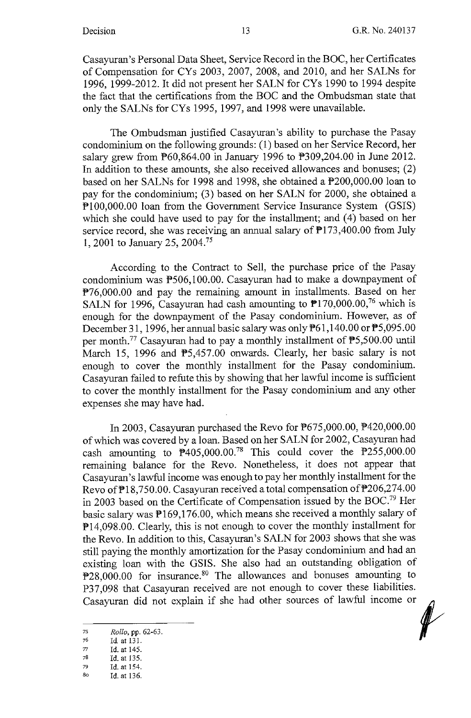Casayuran's Personal Data Sheet, Service Record in the BOC, her Certificates of Compensation for CYs 2003, 2007, 2008, and 2010, and her SALNs for 1996, 1999-2012. It did not present her SALN for CYs 1990 to 1994 despite the fact that the certifications from the BOC and the Ombudsman state that only the SALNs for CYs 1995, 1997, and 1998 were unavailable.

The Ombudsman justified Casayuran's ability to purchase the Pasay condominium on the following grounds: (1) based on her Service Record, her salary grew from P60,864.00 in January 1996 to P309,204.00 in June 2012. In addition to these amounts, she also received allowances and bonuses; (2) based on her SALNs for 1998 and 1998, she obtained a P200,000.00 loan to pay for the condominium; (3) based on her SALN for 2000, she obtained a Pl00,000.00 loan from the Government Service Insurance System (GSIS) which she could have used to pay for the installment; and (4) based on her service record, she was receiving an annual salary of  $\overline{P}$ 173,400.00 from July 1, 2001 to January 25, 2004.75

According to the Contract to Sell, the purchase price of the Pasay condominium was P506,100.00. Casayuran had to make a downpayment of P76,000.00 and pay the remaining amount in installments. Based on her SALN for 1996, Casayuran had cash amounting to  $P170,000.00,76$  which is enough for the downpayment of the Pasay condominium. However, as of December 31, 1996, her annual basic salary was only  $P61,140.00$  or  $P5,095.00$ per month.<sup>77</sup> Casayuran had to pay a monthly installment of  $\overline{P}$ 5,500.00 until March 15, 1996 and P5,457.00 onwards. Clearly, her basic salary is not enough to cover the monthly installment for the Pasay condominium. Casayuran failed to refute this by showing that her lawful income is sufficient to cover the monthly installment for the Pasay condominium and any other expenses she may have had.

In 2003, Casayuran purchased the Revo for P675,000.00, P420,000.00 of which was covered by a loan. Based on her SALN for 2002, Casayuran had cash amounting to  $\overline{P}405,000.00^{78}$  This could cover the  $\overline{P}255,000.00$ remaining balance for the Revo. Nonetheless, it does not appear that Casayuran's lawful income was enough to pay her monthly installment for the Revo of  $\texttt{P18,750.00}$ . Casayuran received a total compensation of  $\texttt{P206,274.00}$ in 2003 based on the Certificate of Compensation issued by the BOC.79 Her basic salary was P169,176.00, which means she received a monthly salary of P14,098.00. Clearly, this is not enough to cover the monthly installment for the Revo. In addition to this, Casayuran's SALN for 2003 shows that she was still paying the monthly amortization for the Pasay condominium and had an existing loan with the GSIS. She also had an outstanding obligation of P28,000.00 for insurance.<sup>80</sup> The allowances and bonuses amounting to P37,098 that Casayuran received are not enough to cover these liabilities. Casayuran did not explain if she had other sources of lawful income or

<sup>75</sup> Rollo, pp. 62-63.

<sup>76</sup> Id. at 131.

<sup>77</sup> Id. at 145.

<sup>78</sup>**Id. at 135.** 

<sup>79</sup> Id. at 154.

Bo **Id. at 136.**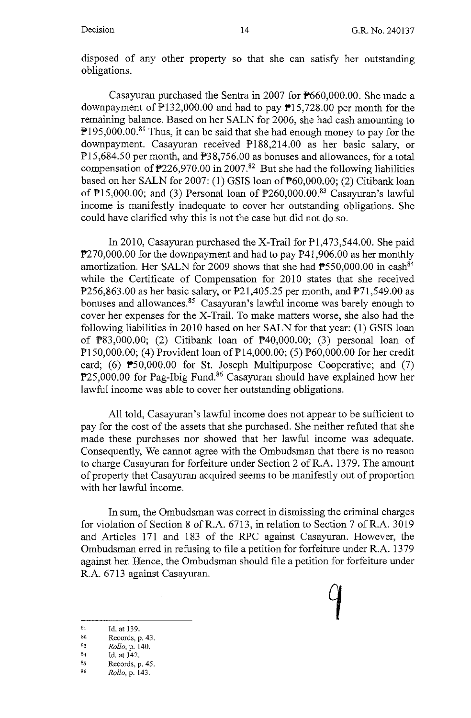disposed of any other property so that she can satisfy her outstanding obligations.

Casayuran purchased the Sentra in 2007 for P660,000.00. She made a downpayment of P132,000.00 and had to pay P15,728.00 per month for the remaining balance. Based on her SALN for 2006, she had cash amounting to  $P195,000.00$ .<sup>81</sup> Thus, it can be said that she had enough money to pay for the downpayment. Casayuran received P188,214.00 as her basic salary, or  $\overline{P}$ 15,684.50 per month, and  $\overline{P}$ 38,756.00 as bonuses and allowances, for a total compensation of  $\frac{1}{226,970.00}$  in 2007.<sup>82</sup> But she had the following liabilities based on her SALN for 2007: (1) GSIS loan of P60,000.00; (2) Citibank loan of  $\overline{P}15,000.00$ ; and (3) Personal loan of  $\overline{P}260,000.00$ .<sup>83</sup> Casayuran's lawful income is manifestly inadequate to cover her outstanding obligations. She could have clarified why this is not the case but did not do so.

In 2010, Casayuran purchased the X-Trail for Pl,473,544.00. She paid  $P270,000.00$  for the downpayment and had to pay  $P41,906.00$  as her monthly amortization. Her SALN for 2009 shows that she had  $P$ 550,000.00 in cash<sup>84</sup> while the Certificate of Compensation for 2010 states that she received  $P256,863.00$  as her basic salary, or  $P21,405.25$  per month, and  $P71,549.00$  as bonuses and allowances.<sup>85</sup> Casayuran's lawful income was barely enough to cover her expenses for the X-Trail. To make matters worse, she also had the following liabilities in 2010 based on her SALN for that year: (1) GSIS loan of P83,000.00; (2) Citibank loan of P40,000.00; (3) personal loan of  $P150,000.00$ ; (4) Provident loan of  $P14,000.00$ ; (5)  $P60,000.00$  for her credit card; (6) P50,000.00 for St. Joseph Multipurpose Cooperative; and (7) P25,000.00 for Pag-lbig Fund.86 Casayuran should have explained how her lawful income was able to cover her outstanding obligations.

All told, Casayuran's lawful income does not appear to be sufficient to pay for the cost of the assets that she purchased. She neither refuted that she made these purchases nor showed that her lawful income was adequate. Consequently, We cannot agree with the Ombudsman that there is no reason to charge Casayuran for forfeiture under Section 2 ofR.A. 1379. The amount of property that Casayuran acquired seems to be manifestly out of proportion with her lawful income.

In sum, the Ombudsman was correct in dismissing the criminal charges for violation of Section 8 of R.A. 6713, in relation to Section 7 of R.A. 3019 and Articles 171 and 183 of the RPC against Casayuran. However, the Ombudsman erred in refusing to file a petition for forfeiture under R.A. 13 79 against her. Hence, the Ombudsman should file a petition for forfeiture under R.A. 6713 against Casayuran.

<sup>8,</sup>  Id. at 139.

<sup>82</sup>  **Records, p. 43.** 

<sup>83</sup>  *Rollo*, p. 140.

<sup>84</sup>  Id. at 142.

<sup>85</sup>  Records, p. 45.

<sup>86</sup>  *Rollo,* p. 143.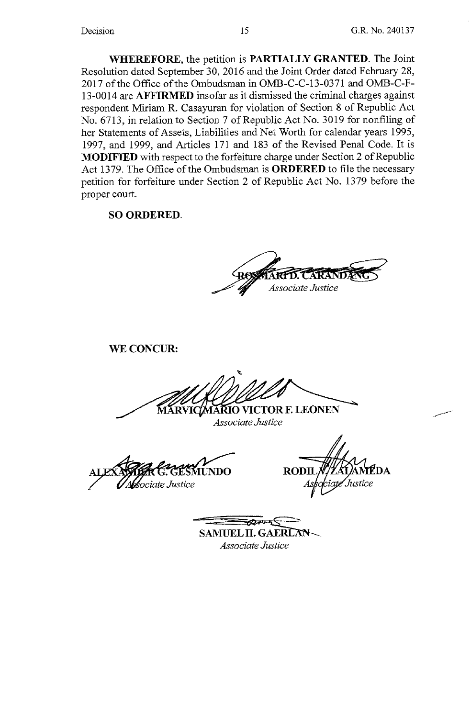**WHEREFORE,** the petition is **PARTIALLY GRANTED.** The Joint Resolution dated September 30, 2016 and the Joint Order dated February 28, 2017 of the Office of the Ombudsman in OMB-C-C-13-0371 and OMB-C-F-13-0014 are **AFFIRMED** insofar as it dismissed the criminal charges against respondent Miriam R. Casayuran for violation of Section 8 of Republic Act No. 6713, in relation to Section 7 of Republic Act No. 3019 for nonfiling of her Statements of Assets, Liabilities and Net Worth for calendar years 1995, 1997, and 1999, and Articles 171 and 183 of the Revised Penal Code. It is **MODIFIED** with respect to the forfeiture charge under Section 2 of Republic Act 1379. The Office of the Ombudsman is **ORDERED** to file the necessary petition for forfeiture under Section 2 of Republic Act No. 1379 before the proper court.

#### **SO ORDERED.**

*Associate Justice* 

**WE CONCUR:** 

RVIC/MĂŘIO VICTOR F. LEONEN

*Associate Justice* 

AUNDO ociate Justice

**ROD** hustice

\_,------

SAMUEL H. GAERLAN *Associate Justice*